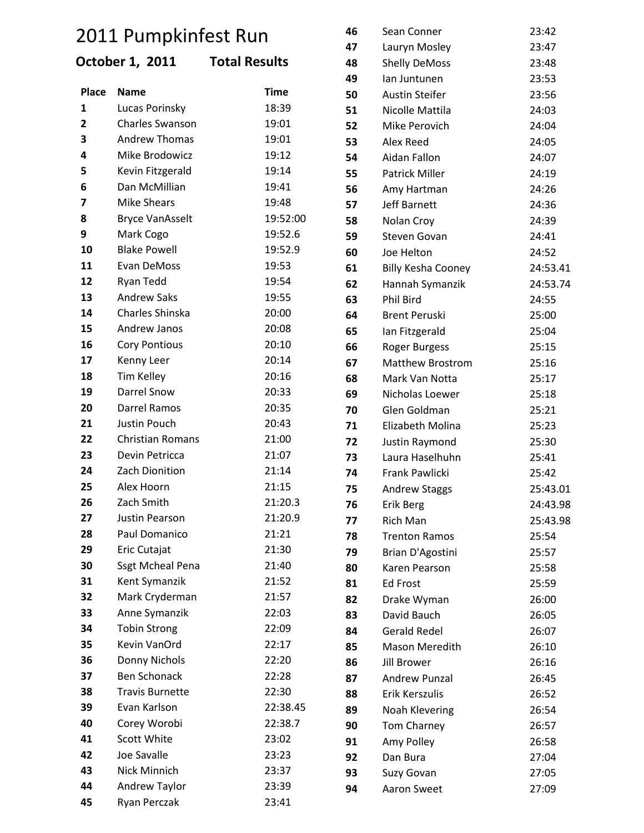# 2011 Pumpkinfest Run

## **October 1, 2011 Total Results**

|                         |                         |             | 49 | lan Juntunen              | 23:53    |
|-------------------------|-------------------------|-------------|----|---------------------------|----------|
| Place                   | <b>Name</b>             | <b>Time</b> | 50 | <b>Austin Steifer</b>     | 23:56    |
| $\mathbf{1}$            | Lucas Porinsky          | 18:39       | 51 | Nicolle Mattila           | 24:03    |
| $\overline{\mathbf{2}}$ | <b>Charles Swanson</b>  | 19:01       | 52 | Mike Perovich             | 24:04    |
| 3                       | <b>Andrew Thomas</b>    | 19:01       | 53 | Alex Reed                 | 24:05    |
| 4                       | Mike Brodowicz          | 19:12       | 54 | Aidan Fallon              | 24:07    |
| 5                       | Kevin Fitzgerald        | 19:14       | 55 | <b>Patrick Miller</b>     | 24:19    |
| 6                       | Dan McMillian           | 19:41       | 56 | Amy Hartman               | 24:26    |
| 7                       | <b>Mike Shears</b>      | 19:48       | 57 | <b>Jeff Barnett</b>       | 24:36    |
| 8                       | <b>Bryce VanAsselt</b>  | 19:52:00    | 58 | Nolan Croy                | 24:39    |
| 9                       | Mark Cogo               | 19:52.6     | 59 | Steven Govan              | 24:41    |
| 10                      | <b>Blake Powell</b>     | 19:52.9     | 60 | Joe Helton                | 24:52    |
| 11                      | Evan DeMoss             | 19:53       | 61 | <b>Billy Kesha Cooney</b> | 24:53.41 |
| 12                      | Ryan Tedd               | 19:54       | 62 | Hannah Symanzik           | 24:53.74 |
| 13                      | <b>Andrew Saks</b>      | 19:55       | 63 | Phil Bird                 | 24:55    |
| 14                      | Charles Shinska         | 20:00       | 64 | <b>Brent Peruski</b>      | 25:00    |
| 15                      | Andrew Janos            | 20:08       | 65 | Ian Fitzgerald            | 25:04    |
| 16                      | <b>Cory Pontious</b>    | 20:10       | 66 | Roger Burgess             | 25:15    |
| 17                      | Kenny Leer              | 20:14       | 67 | <b>Matthew Brostrom</b>   | 25:16    |
| 18                      | <b>Tim Kelley</b>       | 20:16       | 68 | Mark Van Notta            | 25:17    |
| 19                      | <b>Darrel Snow</b>      | 20:33       | 69 | Nicholas Loewer           | 25:18    |
| 20                      | Darrel Ramos            | 20:35       | 70 | Glen Goldman              | 25:21    |
| 21                      | Justin Pouch            | 20:43       | 71 | Elizabeth Molina          | 25:23    |
| 22                      | <b>Christian Romans</b> | 21:00       | 72 | Justin Raymond            | 25:30    |
| 23                      | Devin Petricca          | 21:07       | 73 | Laura Haselhuhn           | 25:41    |
| 24                      | Zach Dionition          | 21:14       | 74 | Frank Pawlicki            | 25:42    |
| 25                      | Alex Hoorn              | 21:15       | 75 | <b>Andrew Staggs</b>      | 25:43.01 |
| 26                      | Zach Smith              | 21:20.3     | 76 | Erik Berg                 | 24:43.98 |
| 27                      | Justin Pearson          | 21:20.9     | 77 | <b>Rich Man</b>           | 25:43.98 |
| 28                      | Paul Domanico           | 21:21       | 78 | <b>Trenton Ramos</b>      | 25:54    |
| 29                      | Eric Cutajat            | 21:30       | 79 | Brian D'Agostini          | 25:57    |
| 30                      | <b>Ssgt Mcheal Pena</b> | 21:40       | 80 | Karen Pearson             | 25:58    |
| 31                      | Kent Symanzik           | 21:52       | 81 | <b>Ed Frost</b>           | 25:59    |
| 32                      | Mark Cryderman          | 21:57       | 82 | Drake Wyman               | 26:00    |
| 33                      | Anne Symanzik           | 22:03       | 83 | David Bauch               | 26:05    |
| 34                      | <b>Tobin Strong</b>     | 22:09       | 84 | <b>Gerald Redel</b>       | 26:07    |
| 35                      | Kevin VanOrd            | 22:17       | 85 | Mason Meredith            | 26:10    |
| 36                      | Donny Nichols           | 22:20       | 86 | <b>Jill Brower</b>        | 26:16    |
| 37                      | <b>Ben Schonack</b>     | 22:28       | 87 | Andrew Punzal             | 26:45    |
| 38                      | <b>Travis Burnette</b>  | 22:30       | 88 | Erik Kerszulis            | 26:52    |
| 39                      | Evan Karlson            | 22:38.45    | 89 | Noah Klevering            | 26:54    |
| 40                      | Corey Worobi            | 22:38.7     | 90 | Tom Charney               | 26:57    |
| 41                      | Scott White             | 23:02       | 91 | Amy Polley                | 26:58    |
| 42                      | Joe Savalle             | 23:23       | 92 | Dan Bura                  | 27:04    |
| 43                      | Nick Minnich            | 23:37       | 93 | Suzy Govan                | 27:05    |
| 44                      | Andrew Taylor           | 23:39       | 94 | Aaron Sweet               | 27:09    |
| 45                      | Ryan Perczak            | 23:41       |    |                           |          |

 Sean Conner 23:42 Lauryn Mosley 23:47 Shelly DeMoss 23:48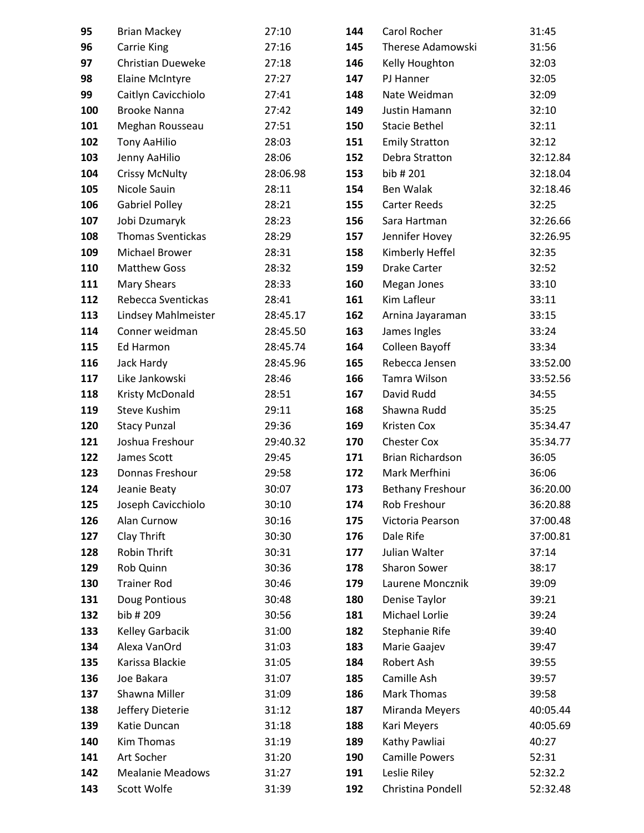| 95         | <b>Brian Mackey</b>             | 27:10          | 144        | Carol Rocher                  | 31:45          |
|------------|---------------------------------|----------------|------------|-------------------------------|----------------|
| 96         | <b>Carrie King</b>              | 27:16          | 145        | Therese Adamowski             | 31:56          |
| 97         | <b>Christian Dueweke</b>        | 27:18          | 146        | Kelly Houghton                | 32:03          |
| 98         | <b>Elaine McIntyre</b>          | 27:27          | 147        | PJ Hanner                     | 32:05          |
| 99         | Caitlyn Cavicchiolo             | 27:41          | 148        | Nate Weidman                  | 32:09          |
| 100        | <b>Brooke Nanna</b>             | 27:42          | 149        | Justin Hamann                 | 32:10          |
| 101        | Meghan Rousseau                 | 27:51          | 150        | <b>Stacie Bethel</b>          | 32:11          |
| 102        | <b>Tony AaHilio</b>             | 28:03          | 151        | <b>Emily Stratton</b>         | 32:12          |
| 103        | Jenny AaHilio                   | 28:06          | 152        | Debra Stratton                | 32:12.84       |
| 104        | <b>Crissy McNulty</b>           | 28:06.98       | 153        | bib #201                      | 32:18.04       |
| 105        | Nicole Sauin                    | 28:11          | 154        | Ben Walak                     | 32:18.46       |
| 106        | <b>Gabriel Polley</b>           | 28:21          | 155        | <b>Carter Reeds</b>           | 32:25          |
| 107        | Jobi Dzumaryk                   | 28:23          | 156        | Sara Hartman                  | 32:26.66       |
| 108        | <b>Thomas Sventickas</b>        | 28:29          | 157        | Jennifer Hovey                | 32:26.95       |
| 109        | <b>Michael Brower</b>           | 28:31          | 158        | Kimberly Heffel               | 32:35          |
| 110        | <b>Matthew Goss</b>             | 28:32          | 159        | <b>Drake Carter</b>           | 32:52          |
| 111        | <b>Mary Shears</b>              | 28:33          | 160        | Megan Jones                   | 33:10          |
| 112        | Rebecca Sventickas              | 28:41          | 161        | Kim Lafleur                   | 33:11          |
| 113        | Lindsey Mahlmeister             | 28:45.17       | 162        | Arnina Jayaraman              | 33:15          |
| 114        | Conner weidman                  | 28:45.50       | 163        | James Ingles                  | 33:24          |
| 115        | Ed Harmon                       | 28:45.74       | 164        | Colleen Bayoff                | 33:34          |
| 116        | Jack Hardy                      | 28:45.96       | 165        | Rebecca Jensen                | 33:52.00       |
| 117        | Like Jankowski                  | 28:46          | 166        | Tamra Wilson                  | 33:52.56       |
| 118        | Kristy McDonald                 | 28:51          | 167        | David Rudd                    | 34:55          |
| 119        | Steve Kushim                    | 29:11          | 168        | Shawna Rudd                   | 35:25          |
| 120        | <b>Stacy Punzal</b>             | 29:36          | 169        | Kristen Cox                   | 35:34.47       |
| 121        | Joshua Freshour                 | 29:40.32       | 170        | <b>Chester Cox</b>            | 35:34.77       |
| 122        | James Scott                     | 29:45          | 171        | <b>Brian Richardson</b>       | 36:05          |
| 123        | Donnas Freshour                 | 29:58          | 172        | Mark Merfhini                 | 36:06          |
| 124        | Jeanie Beaty                    | 30:07          | 173        | <b>Bethany Freshour</b>       | 36:20.00       |
| 125        | Joseph Cavicchiolo              | 30:10          | 174        | Rob Freshour                  | 36:20.88       |
| 126        | Alan Curnow                     | 30:16          | 175        | Victoria Pearson              | 37:00.48       |
| 127        | Clay Thrift                     | 30:30          | 176        | Dale Rife                     | 37:00.81       |
| 128        | Robin Thrift                    | 30:31<br>30:36 | 177        | Julian Walter<br>Sharon Sower | 37:14          |
| 129<br>130 | Rob Quinn<br><b>Trainer Rod</b> | 30:46          | 178<br>179 | Laurene Moncznik              | 38:17<br>39:09 |
| 131        | Doug Pontious                   | 30:48          | 180        | Denise Taylor                 | 39:21          |
| 132        | bib # 209                       | 30:56          | 181        | Michael Lorlie                | 39:24          |
| 133        | <b>Kelley Garbacik</b>          | 31:00          | 182        | Stephanie Rife                | 39:40          |
| 134        | Alexa VanOrd                    | 31:03          | 183        | Marie Gaajev                  | 39:47          |
| 135        | Karissa Blackie                 | 31:05          | 184        | Robert Ash                    | 39:55          |
| 136        | Joe Bakara                      | 31:07          | 185        | Camille Ash                   | 39:57          |
| 137        | Shawna Miller                   | 31:09          | 186        | Mark Thomas                   | 39:58          |
| 138        | Jeffery Dieterie                | 31:12          | 187        | Miranda Meyers                | 40:05.44       |
| 139        | Katie Duncan                    | 31:18          | 188        | Kari Meyers                   | 40:05.69       |
| 140        | Kim Thomas                      | 31:19          | 189        | Kathy Pawliai                 | 40:27          |
| 141        | Art Socher                      | 31:20          | 190        | <b>Camille Powers</b>         | 52:31          |
| 142        | <b>Mealanie Meadows</b>         | 31:27          | 191        | Leslie Riley                  | 52:32.2        |
| 143        | Scott Wolfe                     | 31:39          | 192        | Christina Pondell             | 52:32.48       |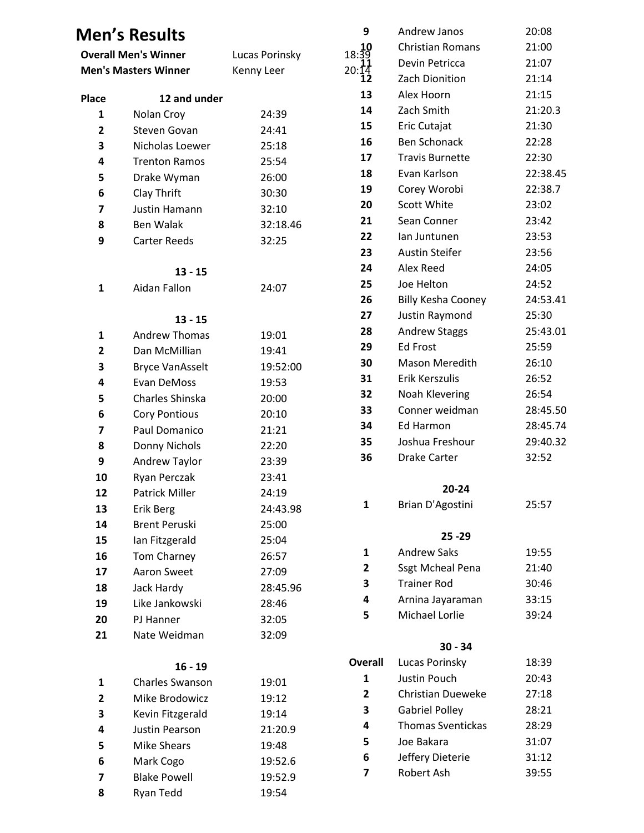## **Men's Results**

| <b>Overall Men's Winner</b> |                        | Lucas Porinsky | 18:39 |
|-----------------------------|------------------------|----------------|-------|
| <b>Men's Masters Winner</b> |                        | Kenny Leer     | 20:14 |
| Place                       | 12 and under           |                | 13    |
| $\mathbf{1}$                | Nolan Croy             | 24:39          | 14    |
| 2                           | Steven Govan           | 24:41          | 15    |
| 3                           | Nicholas Loewer        | 25:18          | 16    |
| 4                           | <b>Trenton Ramos</b>   | 25:54          | 17    |
| 5                           | Drake Wyman            | 26:00          | 18    |
| 6                           | Clay Thrift            | 30:30          | 19    |
| 7                           | Justin Hamann          | 32:10          | 20    |
| 8                           | Ben Walak              | 32:18.46       | 21    |
| 9                           | <b>Carter Reeds</b>    | 32:25          | 22    |
|                             |                        |                | 23    |
|                             | $13 - 15$              |                | 24    |
| $\mathbf{1}$                | Aidan Fallon           | 24:07          | 25    |
|                             |                        |                | 26    |
|                             | $13 - 15$              |                | 27    |
| 1                           | <b>Andrew Thomas</b>   | 19:01          | 28    |
| 2                           | Dan McMillian          | 19:41          | 29    |
| 3                           | <b>Bryce VanAsselt</b> | 19:52:00       | 30    |
| 4                           | Evan DeMoss            | 19:53          | 31    |
| 5                           | Charles Shinska        | 20:00          | 32    |
| 6                           | <b>Cory Pontious</b>   | 20:10          | 33    |
| 7                           | Paul Domanico          | 21:21          | 34    |
| 8                           | Donny Nichols          | 22:20          | 35    |
| 9                           | Andrew Taylor          | 23:39          | 36    |
| 10                          | Ryan Perczak           | 23:41          |       |
| 12                          | <b>Patrick Miller</b>  | 24:19          |       |
| 13                          | Erik Berg              | 24:43.98       | 1     |
| 14                          | <b>Brent Peruski</b>   | 25:00          |       |
| 15                          | Ian Fitzgerald         | 25:04          |       |
| 16                          | <b>Tom Charney</b>     | 26:57          | 1     |
| 17                          | Aaron Sweet            | 27:09          | 2     |
| 18                          | Jack Hardy             | 28:45.96       | 3     |
| 19                          | Like Jankowski         | 28:46          | 4     |
| 20                          | PJ Hanner              | 32:05          | 5     |
| 21                          | Nate Weidman           | 32:09          |       |
|                             | $16 - 19$              |                | Over  |
| 1                           | <b>Charles Swanson</b> | 19:01          | 1     |
| 2                           | Mike Brodowicz         | 19:12          | 2     |
| 3                           | Kevin Fitzgerald       | 19:14          | 3     |
| 4                           | Justin Pearson         | 21:20.9        | 4     |
| 5                           | <b>Mike Shears</b>     | 19:48          | 5     |
| 6                           | Mark Cogo              | 19:52.6        | 6     |
| 7                           | <b>Blake Powell</b>    | 19:52.9        | 7     |
| 8                           | Ryan Tedd              | 19:54          |       |

| 9                 | <b>Andrew Janos</b>       | 20:08    |
|-------------------|---------------------------|----------|
| 8:39              | <b>Christian Romans</b>   | 21:00    |
|                   | Devin Petricca            | 21:07    |
| $\frac{0.14}{12}$ | Zach Dionition            | 21:14    |
| 13                | Alex Hoorn                | 21:15    |
| 14                | Zach Smith                | 21:20.3  |
| 15                | Eric Cutajat              | 21:30    |
| 16                | <b>Ben Schonack</b>       | 22:28    |
| 17                | <b>Travis Burnette</b>    | 22:30    |
| 18                | Evan Karlson              | 22:38.45 |
| 19                | Corey Worobi              | 22:38.7  |
| 20                | <b>Scott White</b>        | 23:02    |
| 21                | Sean Conner               | 23:42    |
| 22                | lan Juntunen              | 23:53    |
| 23                | <b>Austin Steifer</b>     | 23:56    |
| 24                | Alex Reed                 | 24:05    |
| 25                | Joe Helton                | 24:52    |
| 26                | <b>Billy Kesha Cooney</b> | 24:53.41 |
| 27                | Justin Raymond            | 25:30    |
| 28                | <b>Andrew Staggs</b>      | 25:43.01 |
| 29                | <b>Ed Frost</b>           | 25:59    |
| 30                | <b>Mason Meredith</b>     | 26:10    |
| 31                | Erik Kerszulis            | 26:52    |
| 32                | Noah Klevering            | 26:54    |
| 33                | Conner weidman            | 28:45.50 |
| 34                | Ed Harmon                 | 28:45.74 |
| 35                | Joshua Freshour           | 29:40.32 |
| 36                | <b>Drake Carter</b>       | 32:52    |
|                   | 20-24                     |          |
| 1                 | Brian D'Agostini          | 25:57    |
|                   |                           |          |
|                   | $25 - 29$                 |          |
| 1                 | <b>Andrew Saks</b>        | 19:55    |
| $\overline{2}$    | <b>Ssgt Mcheal Pena</b>   | 21:40    |
| 3                 | <b>Trainer Rod</b>        | 30:46    |
| 4                 | Arnina Jayaraman          | 33:15    |
| 5                 | <b>Michael Lorlie</b>     | 39:24    |
|                   | $30 - 34$                 |          |
| <b>Overall</b>    | Lucas Porinsky            | 18:39    |
| 1                 | <b>Justin Pouch</b>       | 20:43    |
| $\overline{2}$    | <b>Christian Dueweke</b>  | 27:18    |
| 3                 | <b>Gabriel Polley</b>     | 28:21    |
| 4                 | <b>Thomas Sventickas</b>  | 28:29    |
| 5                 | Joe Bakara                | 31:07    |
| 6                 | Jeffery Dieterie          | 31:12    |
| 7                 | Robert Ash                | 39:55    |
|                   |                           |          |
|                   |                           |          |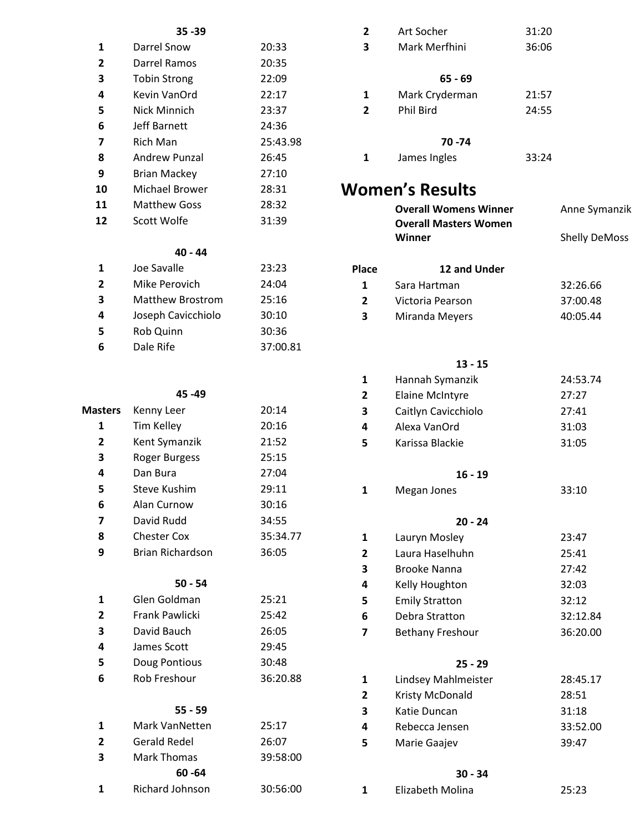### **35 -39**

| 1              | Darrel Snow         | 20:33    |
|----------------|---------------------|----------|
| $\overline{2}$ | Darrel Ramos        | 20:35    |
| 3              | <b>Tobin Strong</b> | 22:09    |
| 4              | Kevin VanOrd        | 22:17    |
| 5              | Nick Minnich        | 23:37    |
| 6              | Jeff Barnett        | 24:36    |
| 7              | Rich Man            | 25:43.98 |
| 8              | Andrew Punzal       | 26:45    |
| 9              | <b>Brian Mackey</b> | 27:10    |
| 10             | Michael Brower      | 28:31    |
| 11             | <b>Matthew Goss</b> | 28:32    |
| 12             | Scott Wolfe         | 31:39    |

## **40 - 44**

| 1              | Joe Savalle             | 23:23    |
|----------------|-------------------------|----------|
| $\overline{2}$ | Mike Perovich           | 24:04    |
| 3              | <b>Matthew Brostrom</b> | 25:16    |
| 4              | Joseph Cavicchiolo      | 30:10    |
| 5              | Rob Quinn               | 30:36    |
| 6              | Dale Rife               | 37:00.81 |

## **45 -49**

| <b>Masters</b> | Kenny Leer              | 20:14    |
|----------------|-------------------------|----------|
| 1              | <b>Tim Kelley</b>       | 20:16    |
| 2              | Kent Symanzik           | 21:52    |
| 3              | <b>Roger Burgess</b>    | 25:15    |
| 4              | Dan Bura                | 27:04    |
| 5              | <b>Steve Kushim</b>     | 29:11    |
| 6              | Alan Curnow             | 30:16    |
| 7              | David Rudd              | 34:55    |
| 8              | <b>Chester Cox</b>      | 35:34.77 |
| 9              | <b>Brian Richardson</b> | 36:05    |
|                | $50 - 54$               |          |
| 1              | Glen Goldman            | 25:21    |
| 2              | <b>Frank Pawlicki</b>   | 25:42    |
| 3              | David Bauch             | 26:05    |
| 4              | James Scott             | 29:45    |
| 5              | Doug Pontious           | 30:48    |
| 6              | <b>Rob Freshour</b>     | 36:20.88 |
|                | $55 - 59$               |          |
| 1              | Mark VanNetten          | 25:17    |
| 2              | Gerald Redel            | 26:07    |
| 3              | <b>Mark Thomas</b>      | 39:58:00 |
|                | 60 - 64                 |          |
| 1              | <b>Richard Johnson</b>  | 30:56:00 |

| 2                       | Art Socher                          | 31:20 |                      |
|-------------------------|-------------------------------------|-------|----------------------|
| 3                       | Mark Merfhini                       | 36:06 |                      |
|                         |                                     |       |                      |
|                         | $65 - 69$                           |       |                      |
| 1                       | Mark Cryderman                      | 21:57 |                      |
| $\overline{2}$          | Phil Bird                           | 24:55 |                      |
|                         | 70 - 74                             |       |                      |
| 1                       | James Ingles                        | 33:24 |                      |
|                         |                                     |       |                      |
|                         | <b>Women's Results</b>              |       |                      |
|                         | <b>Overall Womens Winner</b>        |       | Anne Symanzik        |
|                         | <b>Overall Masters Women</b>        |       |                      |
|                         | Winner                              |       | <b>Shelly DeMoss</b> |
| Place                   | 12 and Under                        |       |                      |
| 1                       | Sara Hartman                        |       | 32:26.66             |
| 2                       | Victoria Pearson                    |       | 37:00.48             |
| 3                       | Miranda Meyers                      |       | 40:05.44             |
|                         |                                     |       |                      |
|                         |                                     |       |                      |
|                         | $13 - 15$                           |       |                      |
| 1                       | Hannah Symanzik                     |       | 24:53.74             |
| 2                       | <b>Elaine McIntyre</b>              |       | 27:27                |
| 3<br>4                  | Caitlyn Cavicchiolo<br>Alexa VanOrd |       | 27:41<br>31:03       |
| 5                       | Karissa Blackie                     |       | 31:05                |
|                         |                                     |       |                      |
|                         | $16 - 19$                           |       |                      |
| 1                       | Megan Jones                         |       | 33:10                |
|                         |                                     |       |                      |
|                         | $20 - 24$                           |       |                      |
| 1<br>$\mathbf{2}$       | Lauryn Mosley<br>Laura Haselhuhn    |       | 23:47<br>25:41       |
| 3                       | Brooke Nanna                        |       | 27:42                |
| 4                       | Kelly Houghton                      |       | 32:03                |
| 5                       | <b>Emily Stratton</b>               |       | 32:12                |
| 6                       | Debra Stratton                      |       | 32:12.84             |
| $\overline{\mathbf{z}}$ | <b>Bethany Freshour</b>             |       | 36:20.00             |
|                         |                                     |       |                      |
|                         | $25 - 29$                           |       |                      |
| 1<br>$\mathbf{2}$       | Lindsey Mahlmeister                 |       | 28:45.17             |
| 3                       | Kristy McDonald<br>Katie Duncan     |       | 28:51<br>31:18       |
| 4                       | Rebecca Jensen                      |       | 33:52.00             |
| 5                       | Marie Gaajev                        |       | 39:47                |
|                         |                                     |       |                      |

#### **30 - 34**

| Elizabeth Molina | 25:23 |
|------------------|-------|
|                  |       |